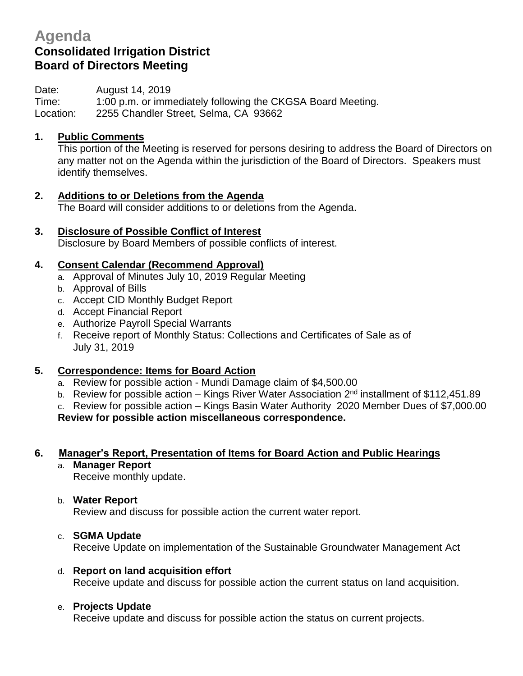# **Agenda Consolidated Irrigation District Board of Directors Meeting**

Date: August 14, 2019

Time: 1:00 p.m. or immediately following the CKGSA Board Meeting. Location: 2255 Chandler Street, Selma, CA 93662

## **1. Public Comments**

This portion of the Meeting is reserved for persons desiring to address the Board of Directors on any matter not on the Agenda within the jurisdiction of the Board of Directors. Speakers must identify themselves.

- **2. Additions to or Deletions from the Agenda** The Board will consider additions to or deletions from the Agenda.
- **3. Disclosure of Possible Conflict of Interest** Disclosure by Board Members of possible conflicts of interest.

## **4. Consent Calendar (Recommend Approval)**

- a. Approval of Minutes July 10, 2019 Regular Meeting
- b. Approval of Bills
- c. Accept CID Monthly Budget Report
- d. Accept Financial Report
- e. Authorize Payroll Special Warrants
- f. Receive report of Monthly Status: Collections and Certificates of Sale as of July 31, 2019

## **5. Correspondence: Items for Board Action**

- a. Review for possible action Mundi Damage claim of \$4,500.00
- b. Review for possible action Kings River Water Association  $2<sup>nd</sup>$  installment of \$112,451.89

c. Review for possible action – Kings Basin Water Authority 2020 Member Dues of \$7,000.00

**Review for possible action miscellaneous correspondence.**

# **6. Manager's Report, Presentation of Items for Board Action and Public Hearings**

a. **Manager Report**

Receive monthly update.

#### b. **Water Report**

Review and discuss for possible action the current water report.

#### c. **SGMA Update**

Receive Update on implementation of the Sustainable Groundwater Management Act

#### d. **Report on land acquisition effort**

Receive update and discuss for possible action the current status on land acquisition.

#### e. **Projects Update**

Receive update and discuss for possible action the status on current projects.